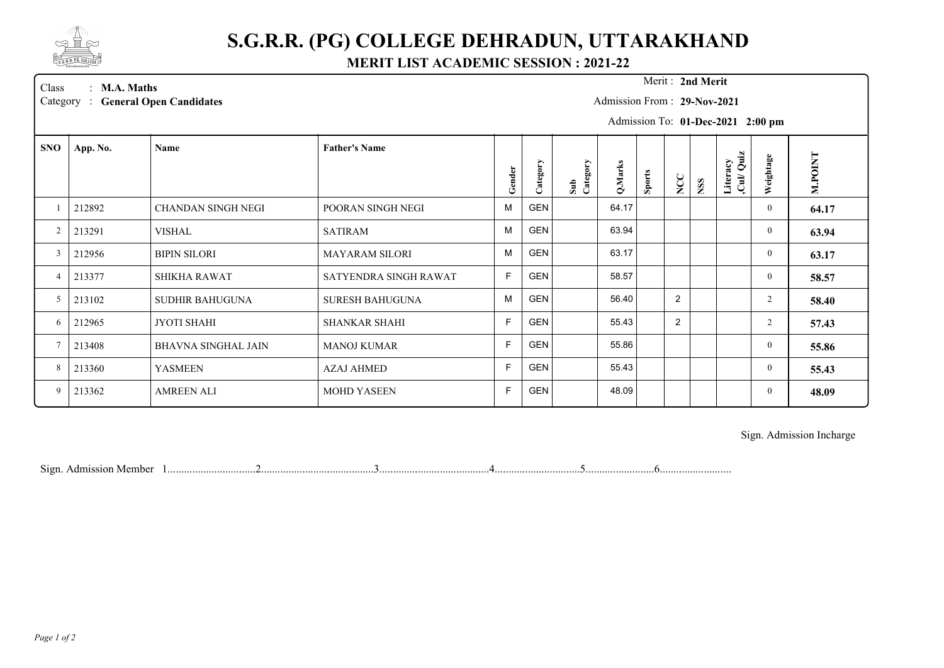

## **S.G.R.R. (PG) COLLEGE DEHRADUN, UTTARAKHAND**

## **MERIT LIST ACADEMIC SESSION : 2021-22**

Merit: 2nd Merit

Class : **M.A. Maths Merit :** Category : General Open Candidates **M.A. Maths** :

Admission From : **29-Nov-2021**

Admission To: **01-Dec-2021 2:00 pm**

| <b>SNO</b>     | App. No. | Name                       | <b>Father's Name</b>   |              |            |                 |         |               |                |            |                        |                |                |
|----------------|----------|----------------------------|------------------------|--------------|------------|-----------------|---------|---------------|----------------|------------|------------------------|----------------|----------------|
|                |          |                            |                        | Gender       | Category   | Sub<br>Category | Q.Marks | <b>Sports</b> | NCC            | <b>NSS</b> | Literacy<br>.Cul/ Quiz | Weightage      | <b>M.POINT</b> |
|                | 212892   | CHANDAN SINGH NEGI         | POORAN SINGH NEGI      | M            | <b>GEN</b> |                 | 64.17   |               |                |            |                        | $\overline{0}$ | 64.17          |
| 2              | 213291   | VISHAL                     | <b>SATIRAM</b>         | M            | <b>GEN</b> |                 | 63.94   |               |                |            |                        | $\theta$       | 63.94          |
| 3              | 212956   | <b>BIPIN SILORI</b>        | <b>MAYARAM SILORI</b>  | M            | <b>GEN</b> |                 | 63.17   |               |                |            |                        | $\theta$       | 63.17          |
| $\overline{4}$ | 213377   | <b>SHIKHA RAWAT</b>        | SATYENDRA SINGH RAWAT  | F            | <b>GEN</b> |                 | 58.57   |               |                |            |                        | $\theta$       | 58.57          |
| 5              | 213102   | <b>SUDHIR BAHUGUNA</b>     | <b>SURESH BAHUGUNA</b> | M            | <b>GEN</b> |                 | 56.40   |               | 2              |            |                        | $\overline{2}$ | 58.40          |
| 6              | 212965   | JYOTI SHAHI                | <b>SHANKAR SHAHI</b>   | $\mathsf{F}$ | <b>GEN</b> |                 | 55.43   |               | $\overline{2}$ |            |                        | $\overline{2}$ | 57.43          |
| $\tau$         | 213408   | <b>BHAVNA SINGHAL JAIN</b> | <b>MANOJ KUMAR</b>     | E            | <b>GEN</b> |                 | 55.86   |               |                |            |                        | $\theta$       | 55.86          |
| 8              | 213360   | <b>YASMEEN</b>             | <b>AZAJ AHMED</b>      | $\mathsf{F}$ | <b>GEN</b> |                 | 55.43   |               |                |            |                        | $\theta$       | 55.43          |
| 9              | 213362   | <b>AMREEN ALI</b>          | <b>MOHD YASEEN</b>     | E            | <b>GEN</b> |                 | 48.09   |               |                |            |                        | $\overline{0}$ | 48.09          |

Sign. Admission Incharge

Sign. Admission Member 1................................2.........................................3........................................4...............................5.........................6..........................